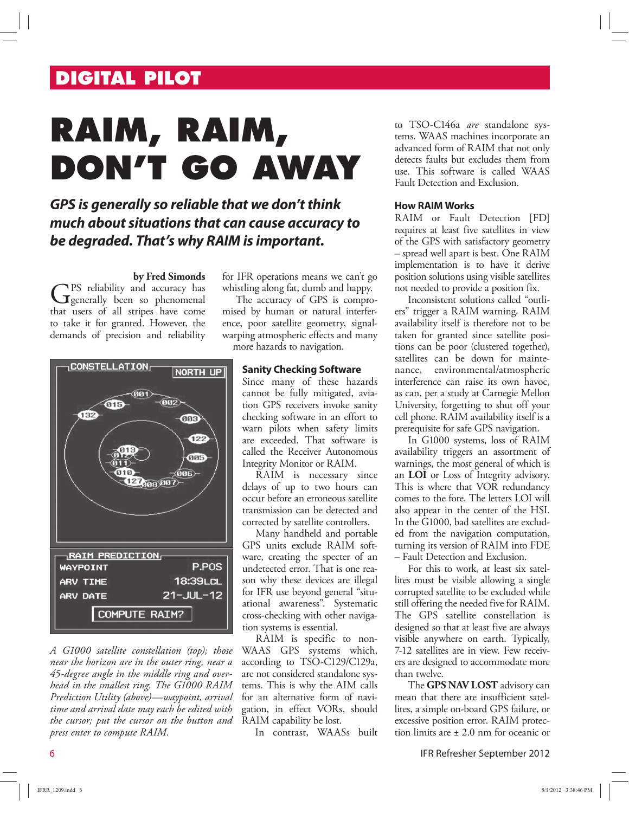## **DIGITAL PILOT**

# **RAIM, RAIM, DON'T GO AWAY**

### **GPS is generally so reliable that we don't think much about situations that can cause accuracy to be degraded. That's why RAIM is important.**

#### **by Fred Simonds**

GPS reliability and accuracy has<br>Generally been so phenomenal PS reliability and accuracy has that users of all stripes have come to take it for granted. However, the demands of precision and reliability



*A G1000 satellite constellation (top); those near the horizon are in the outer ring, near a 45-degree angle in the middle ring and overhead in the smallest ring. The G1000 RAIM Prediction Utility (above)—waypoint, arrival time and arrival date may each be edited with the cursor; put the cursor on the button and press enter to compute RAIM.*

for IFR operations means we can't go whistling along fat, dumb and happy.

The accuracy of GPS is compromised by human or natural interference, poor satellite geometry, signalwarping atmospheric effects and many more hazards to navigation.

#### **Sanity Checking Software**

Since many of these hazards cannot be fully mitigated, aviation GPS receivers invoke sanity checking software in an effort to warn pilots when safety limits are exceeded. That software is called the Receiver Autonomous Integrity Monitor or RAIM.

RAIM is necessary since delays of up to two hours can occur before an erroneous satellite transmission can be detected and corrected by satellite controllers.

Many handheld and portable GPS units exclude RAIM software, creating the specter of an undetected error. That is one reason why these devices are illegal for IFR use beyond general "situational awareness". Systematic cross-checking with other navigation systems is essential.

RAIM is specific to non-WAAS GPS systems which, according to TSO-C129/C129a, are not considered standalone systems. This is why the AIM calls for an alternative form of navigation, in effect VORs, should RAIM capability be lost.

In contrast, WAASs built

to TSO-C146a *are* standalone systems. WAAS machines incorporate an advanced form of RAIM that not only detects faults but excludes them from use. This software is called WAAS Fault Detection and Exclusion.

#### **How RAIM Works**

RAIM or Fault Detection [FD] requires at least five satellites in view of the GPS with satisfactory geometry – spread well apart is best. One RAIM implementation is to have it derive position solutions using visible satellites not needed to provide a position fix.

Inconsistent solutions called "outliers" trigger a RAIM warning. RAIM availability itself is therefore not to be taken for granted since satellite positions can be poor (clustered together), satellites can be down for maintenance, environmental/atmospheric interference can raise its own havoc, as can, per a study at Carnegie Mellon University, forgetting to shut off your cell phone. RAIM availability itself is a prerequisite for safe GPS navigation.

In G1000 systems, loss of RAIM availability triggers an assortment of warnings, the most general of which is an **LOI** or Loss of Integrity advisory. This is where that VOR redundancy comes to the fore. The letters LOI will also appear in the center of the HSI. In the G1000, bad satellites are excluded from the navigation computation, turning its version of RAIM into FDE – Fault Detection and Exclusion.

For this to work, at least six satellites must be visible allowing a single corrupted satellite to be excluded while still offering the needed five for RAIM. The GPS satellite constellation is designed so that at least five are always visible anywhere on earth. Typically, 7-12 satellites are in view. Few receivers are designed to accommodate more than twelve.

The **GPS NAV LOST** advisory can mean that there are insufficient satellites, a simple on-board GPS failure, or excessive position error. RAIM protection limits are ± 2.0 nm for oceanic or

6 IFR Refresher September 2012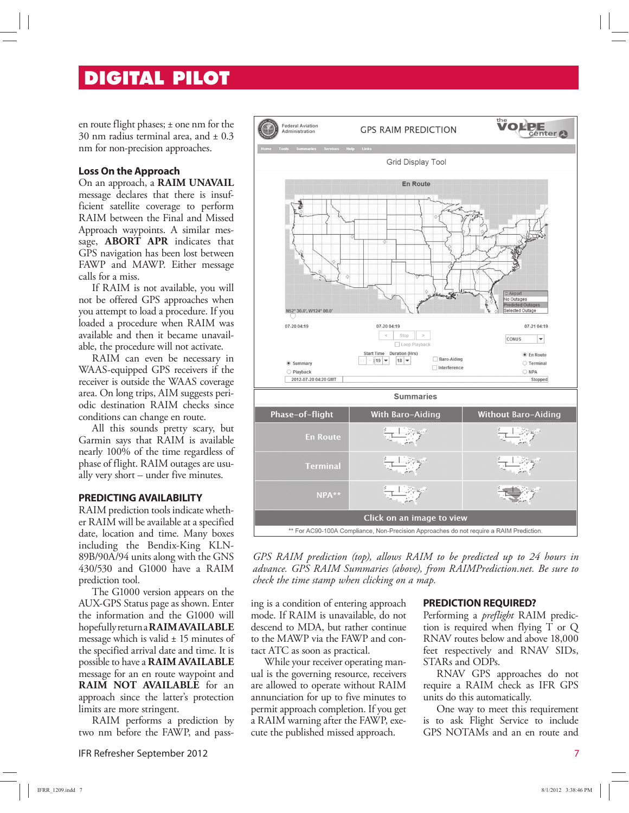## **DIGITAL PILOT**

en route flight phases; ± one nm for the 30 nm radius terminal area, and  $\pm$  0.3 nm for non-precision approaches.

#### **Loss On the Approach**

On an approach, a **RAIM UNAVAIL** message declares that there is insufficient satellite coverage to perform RAIM between the Final and Missed Approach waypoints. A similar message, **ABORT APR** indicates that GPS navigation has been lost between FAWP and MAWP. Either message calls for a miss.

If RAIM is not available, you will not be offered GPS approaches when you attempt to load a procedure. If you loaded a procedure when RAIM was available and then it became unavailable, the procedure will not activate.

RAIM can even be necessary in WAAS-equipped GPS receivers if the receiver is outside the WAAS coverage area. On long trips, AIM suggests periodic destination RAIM checks since conditions can change en route.

All this sounds pretty scary, but Garmin says that RAIM is available nearly 100% of the time regardless of phase of flight. RAIM outages are usually very short – under five minutes.

#### **PREDICTING AVAILABILITY**

RAIM prediction tools indicate whether RAIM will be available at a specified date, location and time. Many boxes including the Bendix-King KLN-89B/90A/94 units along with the GNS 430/530 and G1000 have a RAIM prediction tool.

The G1000 version appears on the AUX-GPS Status page as shown. Enter the information and the G1000 will hopefully return a **RAIM AVAILABLE** message which is valid  $\pm$  15 minutes of the specified arrival date and time. It is possible to have a **RAIM AVAILABLE** message for an en route waypoint and **RAIM NOT AVAILABLE** for an approach since the latter's protection limits are more stringent.

RAIM performs a prediction by two nm before the FAWP, and pass-

IFR Refresher September 2012 7



GPS RAIM prediction (top), allows RAIM to be predicted up to 24 hours in *advance. GPS RAIM Summaries (above), from RAIMPrediction.net. Be sure to check the time stamp when clicking on a map.* 

ing is a condition of entering approach mode. If RAIM is unavailable, do not descend to MDA, but rather continue to the MAWP via the FAWP and contact ATC as soon as practical.

While your receiver operating manual is the governing resource, receivers are allowed to operate without RAIM annunciation for up to five minutes to permit approach completion. If you get a RAIM warning after the FAWP, execute the published missed approach.

#### **PREDICTION REQUIRED?**

Performing a *preflight* RAIM prediction is required when flying T or Q RNAV routes below and above 18,000 feet respectively and RNAV SIDs, STARs and ODPs.

RNAV GPS approaches do not require a RAIM check as IFR GPS units do this automatically.

One way to meet this requirement is to ask Flight Service to include GPS NOTAMs and an en route and